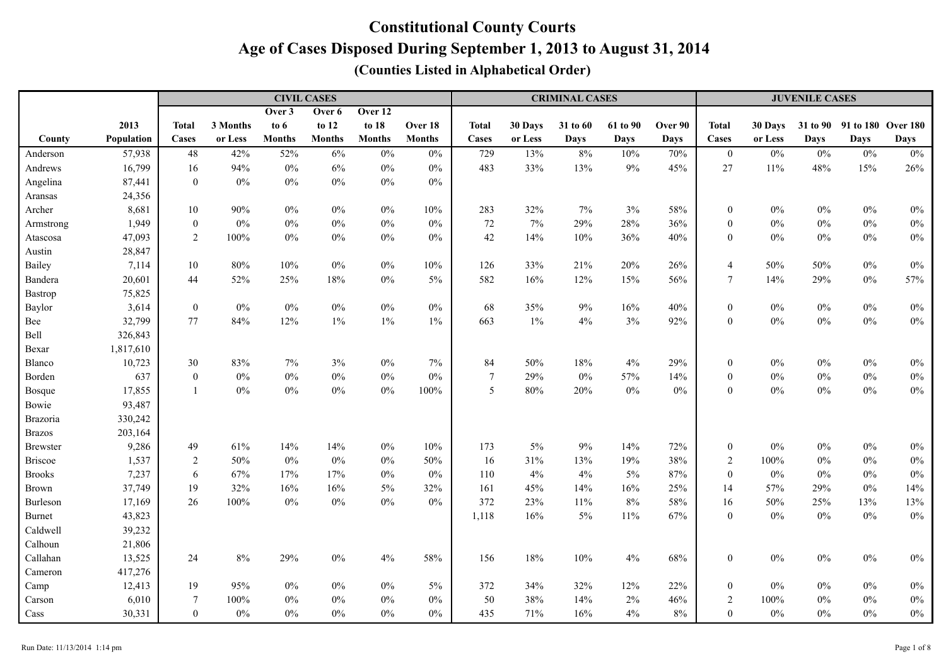|                 |            |                  |          |               | <b>CIVIL CASES</b> |               |               | <b>CRIMINAL CASES</b> |         |             |             |             |                  | <b>JUVENILE CASES</b> |             |                             |             |  |  |
|-----------------|------------|------------------|----------|---------------|--------------------|---------------|---------------|-----------------------|---------|-------------|-------------|-------------|------------------|-----------------------|-------------|-----------------------------|-------------|--|--|
|                 |            |                  |          | Over 3        | Over 6             | Over 12       |               |                       |         |             |             |             |                  |                       |             |                             |             |  |  |
|                 | 2013       | <b>Total</b>     | 3 Months | to $6$        | to 12              | to 18         | Over 18       | <b>Total</b>          | 30 Days | 31 to 60    | 61 to 90    | Over 90     | <b>Total</b>     | 30 Days               |             | 31 to 90 91 to 180 Over 180 |             |  |  |
| County          | Population | Cases            | or Less  | <b>Months</b> | <b>Months</b>      | <b>Months</b> | <b>Months</b> | Cases                 | or Less | <b>Days</b> | <b>Days</b> | <b>Days</b> | <b>Cases</b>     | or Less               | <b>Days</b> | <b>Days</b>                 | <b>Days</b> |  |  |
| Anderson        | 57,938     | 48               | 42%      | 52%           | 6%                 | $0\%$         | $0\%$         | 729                   | 13%     | 8%          | 10%         | 70%         | $\boldsymbol{0}$ | $0\%$                 | $0\%$       | $0\%$                       | $0\%$       |  |  |
| Andrews         | 16,799     | 16               | 94%      | $0\%$         | 6%                 | $0\%$         | $0\%$         | 483                   | 33%     | 13%         | $9\%$       | 45%         | 27               | 11%                   | 48%         | 15%                         | 26%         |  |  |
| Angelina        | 87,441     | $\boldsymbol{0}$ | $0\%$    | $0\%$         | $0\%$              | $0\%$         | $0\%$         |                       |         |             |             |             |                  |                       |             |                             |             |  |  |
| Aransas         | 24,356     |                  |          |               |                    |               |               |                       |         |             |             |             |                  |                       |             |                             |             |  |  |
| Archer          | 8,681      | $10\,$           | 90%      | $0\%$         | $0\%$              | $0\%$         | 10%           | 283                   | 32%     | 7%          | 3%          | 58%         | $\boldsymbol{0}$ | $0\%$                 | $0\%$       | $0\%$                       | $0\%$       |  |  |
| Armstrong       | 1,949      | $\boldsymbol{0}$ | $0\%$    | $0\%$         | $0\%$              | $0\%$         | $0\%$         | $72\,$                | 7%      | 29%         | 28%         | 36%         | $\boldsymbol{0}$ | $0\%$                 | $0\%$       | $0\%$                       | $0\%$       |  |  |
| Atascosa        | 47,093     | $\overline{2}$   | 100%     | $0\%$         | $0\%$              | $0\%$         | $0\%$         | 42                    | 14%     | 10%         | 36%         | 40%         | $\boldsymbol{0}$ | $0\%$                 | $0\%$       | $0\%$                       | $0\%$       |  |  |
| Austin          | 28,847     |                  |          |               |                    |               |               |                       |         |             |             |             |                  |                       |             |                             |             |  |  |
| Bailey          | 7,114      | 10               | 80%      | 10%           | $0\%$              | $0\%$         | 10%           | 126                   | 33%     | 21%         | 20%         | 26%         | $\overline{4}$   | 50%                   | 50%         | $0\%$                       | $0\%$       |  |  |
| Bandera         | 20,601     | 44               | 52%      | 25%           | 18%                | $0\%$         | $5\%$         | 582                   | 16%     | 12%         | 15%         | 56%         | $\tau$           | 14%                   | 29%         | $0\%$                       | 57%         |  |  |
| <b>Bastrop</b>  | 75,825     |                  |          |               |                    |               |               |                       |         |             |             |             |                  |                       |             |                             |             |  |  |
| Baylor          | 3,614      | $\boldsymbol{0}$ | $0\%$    | $0\%$         | $0\%$              | $0\%$         | $0\%$         | 68                    | 35%     | $9\%$       | 16%         | 40%         | $\boldsymbol{0}$ | $0\%$                 | $0\%$       | $0\%$                       | $0\%$       |  |  |
| Bee             | 32,799     | 77               | $84\%$   | 12%           | $1\%$              | $1\%$         | $1\%$         | 663                   | $1\%$   | $4\%$       | 3%          | 92%         | $\boldsymbol{0}$ | $0\%$                 | $0\%$       | $0\%$                       | $0\%$       |  |  |
| Bell            | 326,843    |                  |          |               |                    |               |               |                       |         |             |             |             |                  |                       |             |                             |             |  |  |
| Bexar           | 1,817,610  |                  |          |               |                    |               |               |                       |         |             |             |             |                  |                       |             |                             |             |  |  |
| Blanco          | 10,723     | 30               | 83%      | $7\%$         | 3%                 | $0\%$         | $7\%$         | 84                    | 50%     | 18%         | 4%          | 29%         | $\boldsymbol{0}$ | $0\%$                 | $0\%$       | $0\%$                       | $0\%$       |  |  |
| Borden          | 637        | $\boldsymbol{0}$ | $0\%$    | $0\%$         | $0\%$              | $0\%$         | $0\%$         | $\overline{7}$        | 29%     | $0\%$       | 57%         | 14%         | $\boldsymbol{0}$ | $0\%$                 | $0\%$       | $0\%$                       | $0\%$       |  |  |
| Bosque          | 17,855     | $\overline{1}$   | $0\%$    | $0\%$         | $0\%$              | 0%            | $100\%$       | 5                     | $80\%$  | 20%         | $0\%$       | $0\%$       | $\mathbf{0}$     | $0\%$                 | 0%          | $0\%$                       | $0\%$       |  |  |
| Bowie           | 93,487     |                  |          |               |                    |               |               |                       |         |             |             |             |                  |                       |             |                             |             |  |  |
| Brazoria        | 330,242    |                  |          |               |                    |               |               |                       |         |             |             |             |                  |                       |             |                             |             |  |  |
| <b>Brazos</b>   | 203,164    |                  |          |               |                    |               |               |                       |         |             |             |             |                  |                       |             |                             |             |  |  |
| <b>Brewster</b> | 9,286      | 49               | 61%      | 14%           | 14%                | $0\%$         | 10%           | 173                   | $5\%$   | 9%          | 14%         | 72%         | $\boldsymbol{0}$ | $0\%$                 | $0\%$       | $0\%$                       | $0\%$       |  |  |
| <b>Briscoe</b>  | 1,537      | $\overline{2}$   | 50%      | $0\%$         | $0\%$              | $0\%$         | 50%           | 16                    | 31%     | 13%         | 19%         | 38%         | $\sqrt{2}$       | 100%                  | $0\%$       | $0\%$                       | $0\%$       |  |  |
| <b>Brooks</b>   | 7,237      | 6                | 67%      | 17%           | 17%                | $0\%$         | $0\%$         | 110                   | 4%      | 4%          | $5\%$       | 87%         | $\boldsymbol{0}$ | $0\%$                 | $0\%$       | $0\%$                       | $0\%$       |  |  |
| <b>Brown</b>    | 37,749     | 19               | 32%      | 16%           | 16%                | $5\%$         | 32%           | 161                   | 45%     | 14%         | 16%         | 25%         | 14               | 57%                   | 29%         | $0\%$                       | 14%         |  |  |
| Burleson        | 17,169     | 26               | 100%     | $0\%$         | $0\%$              | $0\%$         | $0\%$         | 372                   | 23%     | $11\%$      | 8%          | 58%         | 16               | 50%                   | 25%         | 13%                         | 13%         |  |  |
| <b>Burnet</b>   | 43,823     |                  |          |               |                    |               |               | 1,118                 | 16%     | $5\%$       | $11\%$      | 67%         | $\boldsymbol{0}$ | $0\%$                 | $0\%$       | $0\%$                       | $0\%$       |  |  |
| Caldwell        | 39,232     |                  |          |               |                    |               |               |                       |         |             |             |             |                  |                       |             |                             |             |  |  |
| Calhoun         | 21,806     |                  |          |               |                    |               |               |                       |         |             |             |             |                  |                       |             |                             |             |  |  |
| Callahan        | 13,525     | 24               | $8\%$    | 29%           | $0\%$              | 4%            | 58%           | 156                   | $18\%$  | 10%         | $4\%$       | 68%         | $\boldsymbol{0}$ | $0\%$                 | $0\%$       | $0\%$                       | $0\%$       |  |  |
| Cameron         | 417,276    |                  |          |               |                    |               |               |                       |         |             |             |             |                  |                       |             |                             |             |  |  |
| Camp            | 12,413     | 19               | 95%      | $0\%$         | $0\%$              | $0\%$         | $5\%$         | 372                   | 34%     | 32%         | 12%         | 22%         | $\boldsymbol{0}$ | $0\%$                 | $0\%$       | $0\%$                       | $0\%$       |  |  |
| Carson          | 6,010      | $\boldsymbol{7}$ | $100\%$  | $0\%$         | $0\%$              | $0\%$         | $0\%$         | 50                    | 38%     | 14%         | $2\%$       | 46%         | $\sqrt{2}$       | 100%                  | $0\%$       | $0\%$                       | $0\%$       |  |  |
| Cass            | 30,331     | $\boldsymbol{0}$ | $0\%$    | $0\%$         | $0\%$              | $0\%$         | $0\%$         | 435                   | 71%     | 16%         | 4%          | $8\%$       | $\boldsymbol{0}$ | $0\%$                 | $0\%$       | $0\%$                       | $0\%$       |  |  |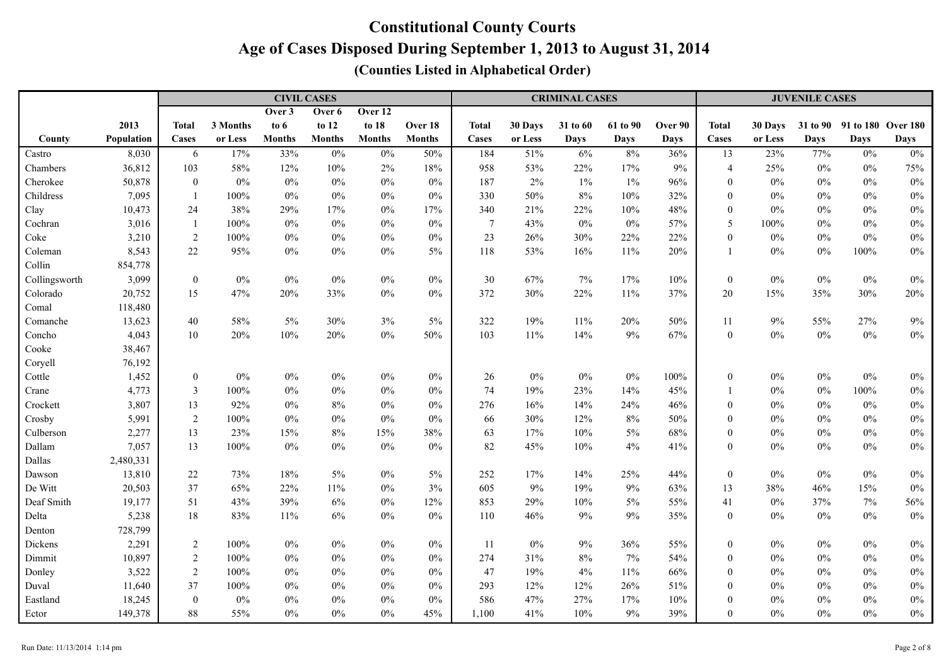|               |            |                  |          |               | <b>CIVIL CASES</b> |               |               | <b>CRIMINAL CASES</b> |         |          |          |             |                  | <b>JUVENILE CASES</b> |       |                             |             |  |  |
|---------------|------------|------------------|----------|---------------|--------------------|---------------|---------------|-----------------------|---------|----------|----------|-------------|------------------|-----------------------|-------|-----------------------------|-------------|--|--|
|               |            |                  |          | Over 3        | Over 6             | Over 12       |               |                       |         |          |          |             |                  |                       |       |                             |             |  |  |
|               | 2013       | <b>Total</b>     | 3 Months | to $6$        | to 12              | to 18         | Over 18       | <b>Total</b>          | 30 Days | 31 to 60 | 61 to 90 | Over 90     | <b>Total</b>     | 30 Days               |       | 31 to 90 91 to 180 Over 180 |             |  |  |
| County        | Population | Cases            | or Less  | <b>Months</b> | <b>Months</b>      | <b>Months</b> | <b>Months</b> | Cases                 | or Less | Days     | Days     | <b>Days</b> | Cases            | or Less               | Days  | <b>Days</b>                 | <b>Days</b> |  |  |
| Castro        | 8,030      | 6                | 17%      | 33%           | $0\%$              | $0\%$         | 50%           | 184                   | 51%     | 6%       | $8\%$    | 36%         | 13               | 23%                   | 77%   | $0\%$                       | $0\%$       |  |  |
| Chambers      | 36,812     | 103              | 58%      | 12%           | $10\%$             | $2\%$         | 18%           | 958                   | 53%     | 22%      | 17%      | 9%          | $\overline{4}$   | 25%                   | $0\%$ | $0\%$                       | 75%         |  |  |
| Cherokee      | 50,878     | $\boldsymbol{0}$ | $0\%$    | $0\%$         | $0\%$              | $0\%$         | $0\%$         | 187                   | 2%      | $1\%$    | $1\%$    | 96%         | $\overline{0}$   | $0\%$                 | $0\%$ | $0\%$                       | $0\%$       |  |  |
| Childress     | 7,095      | -1               | 100%     | $0\%$         | $0\%$              | $0\%$         | $0\%$         | 330                   | 50%     | 8%       | $10\%$   | 32%         | $\boldsymbol{0}$ | $0\%$                 | $0\%$ | $0\%$                       | $0\%$       |  |  |
| Clay          | 10,473     | 24               | 38%      | 29%           | 17%                | $0\%$         | 17%           | 340                   | 21%     | 22%      | $10\%$   | 48%         | $\boldsymbol{0}$ | $0\%$                 | $0\%$ | $0\%$                       | $0\%$       |  |  |
| Cochran       | 3,016      | $\mathbf{1}$     | 100%     | $0\%$         | $0\%$              | $0\%$         | $0\%$         | $\overline{7}$        | 43%     | $0\%$    | $0\%$    | 57%         | 5                | $100\%$               | $0\%$ | $0\%$                       | $0\%$       |  |  |
| Coke          | 3,210      | 2                | 100%     | $0\%$         | $0\%$              | $0\%$         | $0\%$         | 23                    | 26%     | 30%      | 22%      | 22%         | $\boldsymbol{0}$ | $0\%$                 | $0\%$ | $0\%$                       | $0\%$       |  |  |
| Coleman       | 8,543      | $22\,$           | 95%      | $0\%$         | $0\%$              | $0\%$         | 5%            | 118                   | 53%     | 16%      | 11%      | 20%         | $\mathbf{1}$     | $0\%$                 | $0\%$ | 100%                        | $0\%$       |  |  |
| Collin        | 854,778    |                  |          |               |                    |               |               |                       |         |          |          |             |                  |                       |       |                             |             |  |  |
| Collingsworth | 3,099      | $\boldsymbol{0}$ | $0\%$    | $0\%$         | $0\%$              | $0\%$         | $0\%$         | 30                    | 67%     | 7%       | 17%      | 10%         | $\boldsymbol{0}$ | $0\%$                 | $0\%$ | $0\%$                       | $0\%$       |  |  |
| Colorado      | 20,752     | 15               | 47%      | 20%           | 33%                | $0\%$         | $0\%$         | 372                   | 30%     | 22%      | 11%      | 37%         | 20               | 15%                   | 35%   | 30%                         | 20%         |  |  |
| Comal         | 118,480    |                  |          |               |                    |               |               |                       |         |          |          |             |                  |                       |       |                             |             |  |  |
| Comanche      | 13,623     | 40               | 58%      | 5%            | 30%                | $3\%$         | 5%            | 322                   | 19%     | 11%      | 20%      | 50%         | 11               | 9%                    | 55%   | 27%                         | 9%          |  |  |
| Concho        | 4,043      | $10\,$           | 20%      | 10%           | 20%                | $0\%$         | 50%           | 103                   | 11%     | 14%      | 9%       | 67%         | $\boldsymbol{0}$ | $0\%$                 | $0\%$ | $0\%$                       | $0\%$       |  |  |
| Cooke         | 38,467     |                  |          |               |                    |               |               |                       |         |          |          |             |                  |                       |       |                             |             |  |  |
| Coryell       | 76,192     |                  |          |               |                    |               |               |                       |         |          |          |             |                  |                       |       |                             |             |  |  |
| Cottle        | 1,452      | $\boldsymbol{0}$ | $0\%$    | $0\%$         | $0\%$              | $0\%$         | $0\%$         | 26                    | $0\%$   | $0\%$    | $0\%$    | 100%        | $\boldsymbol{0}$ | $0\%$                 | $0\%$ | $0\%$                       | $0\%$       |  |  |
| Crane         | 4,773      | $\mathfrak{Z}$   | 100%     | $0\%$         | $0\%$              | $0\%$         | $0\%$         | 74                    | 19%     | 23%      | 14%      | 45%         | $\mathbf{1}$     | $0\%$                 | $0\%$ | $100\%$                     | $0\%$       |  |  |
| Crockett      | 3,807      | 13               | 92%      | $0\%$         | $8\%$              | $0\%$         | $0\%$         | 276                   | 16%     | 14%      | 24%      | 46%         | $\overline{0}$   | $0\%$                 | $0\%$ | $0\%$                       | $0\%$       |  |  |
| Crosby        | 5,991      | $\sqrt{2}$       | 100%     | $0\%$         | $0\%$              | $0\%$         | $0\%$         | 66                    | 30%     | 12%      | $8\%$    | $50\%$      | $\overline{0}$   | $0\%$                 | $0\%$ | $0\%$                       | $0\%$       |  |  |
| Culberson     | 2,277      | 13               | 23%      | 15%           | $8\%$              | 15%           | 38%           | 63                    | 17%     | 10%      | $5\%$    | 68%         | $\boldsymbol{0}$ | $0\%$                 | $0\%$ | $0\%$                       | $0\%$       |  |  |
| Dallam        | 7,057      | 13               | $100\%$  | $0\%$         | $0\%$              | $0\%$         | $0\%$         | 82                    | 45%     | 10%      | $4\%$    | 41%         | $\boldsymbol{0}$ | $0\%$                 | $0\%$ | $0\%$                       | $0\%$       |  |  |
| Dallas        | 2,480,331  |                  |          |               |                    |               |               |                       |         |          |          |             |                  |                       |       |                             |             |  |  |
| Dawson        | 13,810     | $22\,$           | 73%      | 18%           | $5\%$              | $0\%$         | 5%            | 252                   | 17%     | 14%      | 25%      | 44%         | $\boldsymbol{0}$ | $0\%$                 | $0\%$ | $0\%$                       | $0\%$       |  |  |
| De Witt       | 20,503     | 37               | 65%      | 22%           | 11%                | $0\%$         | 3%            | 605                   | 9%      | 19%      | 9%       | 63%         | 13               | 38%                   | 46%   | 15%                         | $0\%$       |  |  |
| Deaf Smith    | 19,177     | 51               | 43%      | 39%           | $6\%$              | $0\%$         | 12%           | 853                   | 29%     | 10%      | $5\%$    | 55%         | 41               | $0\%$                 | 37%   | 7%                          | 56%         |  |  |
| Delta         | 5,238      | $18\,$           | 83%      | 11%           | $6\%$              | $0\%$         | $0\%$         | 110                   | 46%     | 9%       | 9%       | 35%         | $\boldsymbol{0}$ | $0\%$                 | $0\%$ | $0\%$                       | $0\%$       |  |  |
| Denton        | 728,799    |                  |          |               |                    |               |               |                       |         |          |          |             |                  |                       |       |                             |             |  |  |
| Dickens       | 2,291      | $\sqrt{2}$       | 100%     | $0\%$         | $0\%$              | $0\%$         | $0\%$         | 11                    | $0\%$   | 9%       | 36%      | 55%         | $\boldsymbol{0}$ | $0\%$                 | $0\%$ | $0\%$                       | $0\%$       |  |  |
| Dimmit        | 10,897     | $\overline{c}$   | 100%     | $0\%$         | $0\%$              | $0\%$         | $0\%$         | 274                   | 31%     | 8%       | 7%       | 54%         | $\overline{0}$   | $0\%$                 | $0\%$ | $0\%$                       | $0\%$       |  |  |
| Donley        | 3,522      | 2                | 100%     | $0\%$         | $0\%$              | $0\%$         | $0\%$         | 47                    | 19%     | 4%       | 11%      | 66%         | $\overline{0}$   | $0\%$                 | $0\%$ | $0\%$                       | $0\%$       |  |  |
| Duval         | 11,640     | 37               | $100\%$  | $0\%$         | $0\%$              | $0\%$         | $0\%$         | 293                   | 12%     | 12%      | 26%      | $51\%$      | $\mathbf{0}$     | $0\%$                 | $0\%$ | $0\%$                       | $0\%$       |  |  |
| Eastland      | 18,245     | $\boldsymbol{0}$ | $0\%$    | $0\%$         | $0\%$              | $0\%$         | $0\%$         | 586                   | 47%     | 27%      | 17%      | 10%         | $\overline{0}$   | $0\%$                 | $0\%$ | $0\%$                       | $0\%$       |  |  |
| Ector         | 149,378    | $88\,$           | 55%      | $0\%$         | $0\%$              | $0\%$         | 45%           | 1,100                 | 41%     | 10%      | 9%       | 39%         | $\boldsymbol{0}$ | $0\%$                 | $0\%$ | $0\%$                       | $0\%$       |  |  |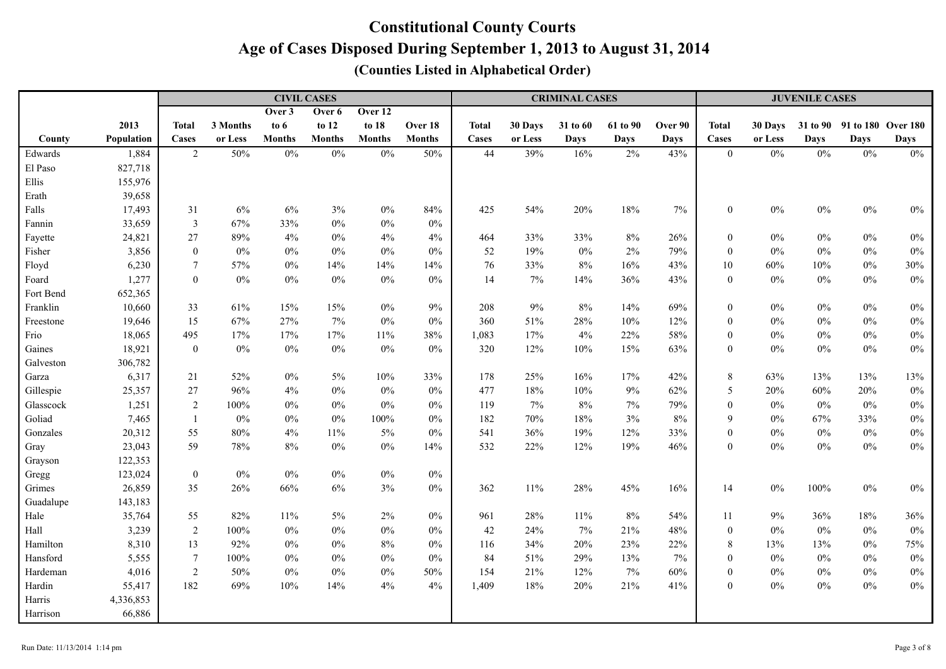|           |            |                  |          |               | <b>CIVIL CASES</b> |               |               | <b>CRIMINAL CASES</b> |         |             |          |             |                  | <b>JUVENILE CASES</b> |             |                    |             |  |  |
|-----------|------------|------------------|----------|---------------|--------------------|---------------|---------------|-----------------------|---------|-------------|----------|-------------|------------------|-----------------------|-------------|--------------------|-------------|--|--|
|           |            |                  |          | Over 3        | Over 6             | Over 12       |               |                       |         |             |          |             |                  |                       |             |                    |             |  |  |
|           | 2013       | <b>Total</b>     | 3 Months | to 6          | to 12              | to 18         | Over 18       | <b>Total</b>          | 30 Days | 31 to 60    | 61 to 90 | Over 90     | <b>Total</b>     | 30 Days               | 31 to 90    | 91 to 180 Over 180 |             |  |  |
| County    | Population | Cases            | or Less  | <b>Months</b> | <b>Months</b>      | <b>Months</b> | <b>Months</b> | Cases                 | or Less | <b>Days</b> | Days     | <b>Days</b> | Cases            | or Less               | <b>Days</b> | <b>Days</b>        | <b>Days</b> |  |  |
| Edwards   | 1,884      | $\overline{2}$   | 50%      | $0\%$         | $0\%$              | $0\%$         | 50%           | 44                    | 39%     | 16%         | 2%       | 43%         | $\mathbf{0}$     | $0\%$                 | $0\%$       | $0\%$              | $0\%$       |  |  |
| El Paso   | 827,718    |                  |          |               |                    |               |               |                       |         |             |          |             |                  |                       |             |                    |             |  |  |
| Ellis     | 155,976    |                  |          |               |                    |               |               |                       |         |             |          |             |                  |                       |             |                    |             |  |  |
| Erath     | 39,658     |                  |          |               |                    |               |               |                       |         |             |          |             |                  |                       |             |                    |             |  |  |
| Falls     | 17,493     | 31               | $6\%$    | 6%            | 3%                 | $0\%$         | 84%           | 425                   | 54%     | 20%         | 18%      | $7\%$       | $\boldsymbol{0}$ | $0\%$                 | $0\%$       | $0\%$              | $0\%$       |  |  |
| Fannin    | 33,659     | $\mathfrak{Z}$   | 67%      | 33%           | $0\%$              | $0\%$         | $0\%$         |                       |         |             |          |             |                  |                       |             |                    |             |  |  |
| Fayette   | 24,821     | 27               | 89%      | 4%            | $0\%$              | $4\%$         | 4%            | 464                   | 33%     | 33%         | $8\%$    | 26%         | $\boldsymbol{0}$ | $0\%$                 | $0\%$       | $0\%$              | $0\%$       |  |  |
| Fisher    | 3,856      | $\boldsymbol{0}$ | $0\%$    | 0%            | $0\%$              | $0\%$         | $0\%$         | 52                    | 19%     | $0\%$       | 2%       | 79%         | $\mathbf{0}$     | $0\%$                 | $0\%$       | $0\%$              | $0\%$       |  |  |
| Floyd     | 6,230      | $\tau$           | 57%      | $0\%$         | 14%                | 14%           | 14%           | 76                    | 33%     | $8\%$       | 16%      | 43%         | $10\,$           | 60%                   | 10%         | $0\%$              | 30%         |  |  |
| Foard     | 1,277      | $\overline{0}$   | $0\%$    | $0\%$         | $0\%$              | $0\%$         | $0\%$         | 14                    | $7\%$   | 14%         | 36%      | 43%         | $\overline{0}$   | $0\%$                 | $0\%$       | $0\%$              | $0\%$       |  |  |
| Fort Bend | 652,365    |                  |          |               |                    |               |               |                       |         |             |          |             |                  |                       |             |                    |             |  |  |
| Franklin  | 10,660     | 33               | 61%      | 15%           | 15%                | $0\%$         | $9\%$         | 208                   | $9\%$   | $8\%$       | 14%      | 69%         | $\boldsymbol{0}$ | $0\%$                 | $0\%$       | $0\%$              | $0\%$       |  |  |
| Freestone | 19,646     | 15               | 67%      | 27%           | $7\%$              | $0\%$         | $0\%$         | 360                   | 51%     | 28%         | 10%      | 12%         | $\boldsymbol{0}$ | $0\%$                 | $0\%$       | $0\%$              | $0\%$       |  |  |
| Frio      | 18,065     | 495              | 17%      | 17%           | $17\%$             | $11\%$        | 38%           | 1,083                 | 17%     | $4\%$       | 22%      | 58%         | $\boldsymbol{0}$ | $0\%$                 | $0\%$       | $0\%$              | $0\%$       |  |  |
| Gaines    | 18,921     | $\boldsymbol{0}$ | $0\%$    | $0\%$         | $0\%$              | $0\%$         | $0\%$         | 320                   | 12%     | $10\%$      | $15\%$   | 63%         | $\mathbf{0}$     | $0\%$                 | $0\%$       | $0\%$              | $0\%$       |  |  |
| Galveston | 306,782    |                  |          |               |                    |               |               |                       |         |             |          |             |                  |                       |             |                    |             |  |  |
| Garza     | 6,317      | 21               | 52%      | $0\%$         | $5\%$              | $10\%$        | 33%           | 178                   | 25%     | 16%         | 17%      | 42%         | $\,8\,$          | 63%                   | 13%         | 13%                | 13%         |  |  |
| Gillespie | 25,357     | $27\,$           | 96%      | $4\%$         | $0\%$              | $0\%$         | $0\%$         | 477                   | 18%     | 10%         | $9\%$    | 62%         | $\sqrt{5}$       | 20%                   | 60%         | 20%                | $0\%$       |  |  |
| Glasscock | 1,251      | $\sqrt{2}$       | $100\%$  | $0\%$         | $0\%$              | $0\%$         | $0\%$         | 119                   | 7%      | 8%          | 7%       | 79%         | $\boldsymbol{0}$ | $0\%$                 | $0\%$       | $0\%$              | $0\%$       |  |  |
| Goliad    | 7,465      | $\overline{1}$   | $0\%$    | $0\%$         | $0\%$              | 100%          | $0\%$         | 182                   | 70%     | 18%         | 3%       | 8%          | $\mathbf{9}$     | $0\%$                 | 67%         | 33%                | $0\%$       |  |  |
| Gonzales  | 20,312     | 55               | 80%      | 4%            | 11%                | 5%            | $0\%$         | 541                   | 36%     | 19%         | 12%      | 33%         | $\boldsymbol{0}$ | $0\%$                 | $0\%$       | $0\%$              | $0\%$       |  |  |
| Gray      | 23,043     | 59               | 78%      | $8\%$         | $0\%$              | $0\%$         | 14%           | 532                   | 22%     | 12%         | 19%      | 46%         | $\boldsymbol{0}$ | $0\%$                 | $0\%$       | $0\%$              | $0\%$       |  |  |
| Grayson   | 122,353    |                  |          |               |                    |               |               |                       |         |             |          |             |                  |                       |             |                    |             |  |  |
| Gregg     | 123,024    | $\boldsymbol{0}$ | $0\%$    | $0\%$         | $0\%$              | $0\%$         | $0\%$         |                       |         |             |          |             |                  |                       |             |                    |             |  |  |
| Grimes    | 26,859     | 35               | 26%      | 66%           | $6\%$              | 3%            | $0\%$         | 362                   | $11\%$  | $28\%$      | 45%      | 16%         | 14               | $0\%$                 | $100\%$     | $0\%$              | $0\%$       |  |  |
| Guadalupe | 143,183    |                  |          |               |                    |               |               |                       |         |             |          |             |                  |                       |             |                    |             |  |  |
| Hale      | 35,764     | 55               | 82%      | 11%           | $5\%$              | 2%            | $0\%$         | 961                   | 28%     | $11\%$      | 8%       | 54%         | 11               | 9%                    | 36%         | 18%                | 36%         |  |  |
| Hall      | 3,239      | 2                | 100%     | $0\%$         | $0\%$              | $0\%$         | $0\%$         | 42                    | 24%     | $7\%$       | 21%      | 48%         | $\mathbf{0}$     | $0\%$                 | $0\%$       | $0\%$              | $0\%$       |  |  |
| Hamilton  | 8,310      | 13               | 92%      | $0\%$         | $0\%$              | $8\%$         | $0\%$         | 116                   | 34%     | 20%         | 23%      | 22%         | 8                | 13%                   | 13%         | $0\%$              | 75%         |  |  |
| Hansford  | 5,555      | $\tau$           | 100%     | $0\%$         | $0\%$              | $0\%$         | $0\%$         | 84                    | 51%     | 29%         | 13%      | 7%          | $\mathbf{0}$     | $0\%$                 | $0\%$       | $0\%$              | $0\%$       |  |  |
| Hardeman  | 4,016      | $\sqrt{2}$       | 50%      | $0\%$         | $0\%$              | $0\%$         | 50%           | 154                   | 21%     | 12%         | 7%       | 60%         | $\boldsymbol{0}$ | $0\%$                 | $0\%$       | $0\%$              | $0\%$       |  |  |
| Hardin    | 55,417     | 182              | 69%      | 10%           | 14%                | 4%            | 4%            | 1,409                 | 18%     | 20%         | 21%      | 41%         | $\mathbf{0}$     | $0\%$                 | $0\%$       | $0\%$              | $0\%$       |  |  |
| Harris    | 4,336,853  |                  |          |               |                    |               |               |                       |         |             |          |             |                  |                       |             |                    |             |  |  |
| Harrison  | 66,886     |                  |          |               |                    |               |               |                       |         |             |          |             |                  |                       |             |                    |             |  |  |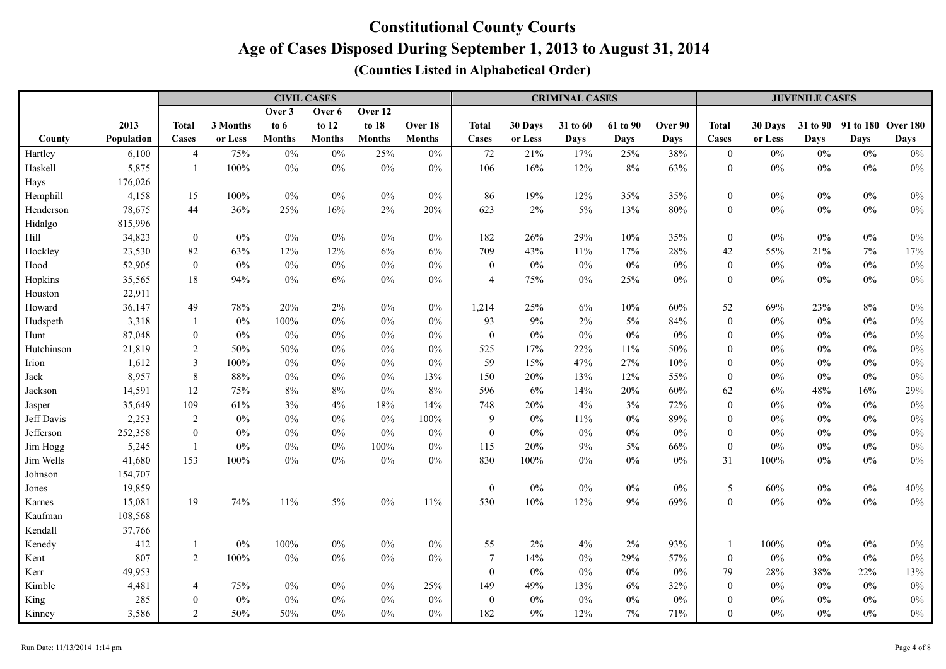|            |            |                  |          | <b>CIVIL CASES</b> |               |               |               |                  |         | <b>CRIMINAL CASES</b> |             |             | <b>JUVENILE CASES</b> |         |             |                             |             |
|------------|------------|------------------|----------|--------------------|---------------|---------------|---------------|------------------|---------|-----------------------|-------------|-------------|-----------------------|---------|-------------|-----------------------------|-------------|
|            |            |                  |          | Over 3             | Over 6        | Over 12       |               |                  |         |                       |             |             |                       |         |             |                             |             |
|            | 2013       | <b>Total</b>     | 3 Months | to $6$             | to 12         | to 18         | Over 18       | <b>Total</b>     | 30 Days | 31 to 60              | 61 to 90    | Over 90     | <b>Total</b>          | 30 Days |             | 31 to 90 91 to 180 Over 180 |             |
| County     | Population | Cases            | or Less  | <b>Months</b>      | <b>Months</b> | <b>Months</b> | <b>Months</b> | Cases            | or Less | <b>Days</b>           | <b>Days</b> | <b>Days</b> | Cases                 | or Less | <b>Days</b> | <b>Days</b>                 | <b>Days</b> |
| Hartley    | 6,100      | $\overline{4}$   | 75%      | $0\%$              | $0\%$         | 25%           | $0\%$         | 72               | 21%     | 17%                   | 25%         | 38%         | $\boldsymbol{0}$      | $0\%$   | $0\%$       | $0\%$                       | $0\%$       |
| Haskell    | 5,875      | $\mathbf{1}$     | 100%     | $0\%$              | $0\%$         | $0\%$         | $0\%$         | 106              | 16%     | 12%                   | $8\%$       | 63%         | $\boldsymbol{0}$      | $0\%$   | $0\%$       | $0\%$                       | $0\%$       |
| Hays       | 176,026    |                  |          |                    |               |               |               |                  |         |                       |             |             |                       |         |             |                             |             |
| Hemphill   | 4,158      | 15               | 100%     | $0\%$              | $0\%$         | $0\%$         | $0\%$         | 86               | 19%     | 12%                   | 35%         | 35%         | $\boldsymbol{0}$      | $0\%$   | $0\%$       | $0\%$                       | $0\%$       |
| Henderson  | 78,675     | 44               | 36%      | 25%                | 16%           | $2\%$         | 20%           | 623              | 2%      | 5%                    | 13%         | 80%         | $\boldsymbol{0}$      | $0\%$   | $0\%$       | $0\%$                       | $0\%$       |
| Hidalgo    | 815,996    |                  |          |                    |               |               |               |                  |         |                       |             |             |                       |         |             |                             |             |
| Hill       | 34,823     | $\boldsymbol{0}$ | $0\%$    | $0\%$              | $0\%$         | $0\%$         | $0\%$         | 182              | 26%     | 29%                   | 10%         | 35%         | $\boldsymbol{0}$      | $0\%$   | $0\%$       | $0\%$                       | $0\%$       |
| Hockley    | 23,530     | 82               | 63%      | 12%                | 12%           | $6\%$         | 6%            | 709              | 43%     | 11%                   | 17%         | $28\%$      | 42                    | 55%     | 21%         | 7%                          | 17%         |
| Hood       | 52,905     | $\boldsymbol{0}$ | $0\%$    | $0\%$              | $0\%$         | $0\%$         | $0\%$         | $\boldsymbol{0}$ | $0\%$   | $0\%$                 | $0\%$       | $0\%$       | $\boldsymbol{0}$      | $0\%$   | $0\%$       | $0\%$                       | $0\%$       |
| Hopkins    | 35,565     | $18\,$           | 94%      | $0\%$              | $6\%$         | $0\%$         | $0\%$         | $\overline{4}$   | 75%     | $0\%$                 | 25%         | $0\%$       | $\boldsymbol{0}$      | $0\%$   | $0\%$       | $0\%$                       | $0\%$       |
| Houston    | 22,911     |                  |          |                    |               |               |               |                  |         |                       |             |             |                       |         |             |                             |             |
| Howard     | 36,147     | 49               | 78%      | 20%                | 2%            | $0\%$         | $0\%$         | 1,214            | 25%     | 6%                    | 10%         | 60%         | 52                    | 69%     | 23%         | 8%                          | $0\%$       |
| Hudspeth   | 3,318      | 1                | $0\%$    | 100%               | $0\%$         | $0\%$         | $0\%$         | 93               | 9%      | 2%                    | $5\%$       | 84%         | $\mathbf{0}$          | $0\%$   | $0\%$       | $0\%$                       | $0\%$       |
| Hunt       | 87,048     | $\boldsymbol{0}$ | $0\%$    | $0\%$              | $0\%$         | $0\%$         | $0\%$         | $\boldsymbol{0}$ | $0\%$   | $0\%$                 | $0\%$       | $0\%$       | $\mathbf{0}$          | $0\%$   | $0\%$       | $0\%$                       | $0\%$       |
| Hutchinson | 21,819     | 2                | 50%      | 50%                | $0\%$         | $0\%$         | $0\%$         | 525              | 17%     | 22%                   | 11%         | 50%         | $\mathbf{0}$          | $0\%$   | $0\%$       | $0\%$                       | $0\%$       |
| Irion      | 1,612      | $\mathfrak{Z}$   | 100%     | $0\%$              | $0\%$         | $0\%$         | $0\%$         | 59               | 15%     | 47%                   | 27%         | 10%         | $\mathbf{0}$          | $0\%$   | $0\%$       | $0\%$                       | $0\%$       |
| Jack       | 8,957      | $\,8\,$          | 88%      | $0\%$              | $0\%$         | $0\%$         | 13%           | 150              | 20%     | 13%                   | 12%         | 55%         | $\mathbf{0}$          | $0\%$   | $0\%$       | $0\%$                       | $0\%$       |
| Jackson    | 14,591     | 12               | 75%      | 8%                 | $8\%$         | $0\%$         | 8%            | 596              | 6%      | 14%                   | 20%         | 60%         | 62                    | 6%      | 48%         | 16%                         | 29%         |
| Jasper     | 35,649     | 109              | 61%      | 3%                 | 4%            | 18%           | 14%           | 748              | 20%     | 4%                    | 3%          | 72%         | $\mathbf{0}$          | $0\%$   | $0\%$       | $0\%$                       | $0\%$       |
| Jeff Davis | 2,253      | $\overline{2}$   | $0\%$    | $0\%$              | $0\%$         | $0\%$         | 100%          | 9                | $0\%$   | 11%                   | $0\%$       | 89%         | $\boldsymbol{0}$      | $0\%$   | $0\%$       | $0\%$                       | $0\%$       |
| Jefferson  | 252,358    | $\boldsymbol{0}$ | $0\%$    | $0\%$              | $0\%$         | $0\%$         | $0\%$         | $\boldsymbol{0}$ | $0\%$   | $0\%$                 | $0\%$       | $0\%$       | $\boldsymbol{0}$      | $0\%$   | $0\%$       | $0\%$                       | $0\%$       |
| Jim Hogg   | 5,245      | -1               | $0\%$    | $0\%$              | $0\%$         | $100\%$       | $0\%$         | 115              | 20%     | $9\%$                 | $5\%$       | 66%         | $\boldsymbol{0}$      | $0\%$   | $0\%$       | $0\%$                       | $0\%$       |
| Jim Wells  | 41,680     | 153              | 100%     | $0\%$              | $0\%$         | $0\%$         | 0%            | 830              | 100%    | $0\%$                 | $0\%$       | $0\%$       | 31                    | $100\%$ | $0\%$       | $0\%$                       | $0\%$       |
| Johnson    | 154,707    |                  |          |                    |               |               |               |                  |         |                       |             |             |                       |         |             |                             |             |
| Jones      | 19,859     |                  |          |                    |               |               |               | $\boldsymbol{0}$ | $0\%$   | $0\%$                 | $0\%$       | $0\%$       | $\sqrt{5}$            | 60%     | $0\%$       | $0\%$                       | 40%         |
| Karnes     | 15,081     | 19               | 74%      | 11%                | $5\%$         | $0\%$         | 11%           | 530              | 10%     | 12%                   | $9\%$       | 69%         | $\boldsymbol{0}$      | $0\%$   | $0\%$       | $0\%$                       | $0\%$       |
| Kaufman    | 108,568    |                  |          |                    |               |               |               |                  |         |                       |             |             |                       |         |             |                             |             |
| Kendall    | 37,766     |                  |          |                    |               |               |               |                  |         |                       |             |             |                       |         |             |                             |             |
| Kenedy     | 412        | -1               | $0\%$    | 100%               | $0\%$         | $0\%$         | $0\%$         | 55               | 2%      | 4%                    | $2\%$       | 93%         |                       | 100%    | $0\%$       | $0\%$                       | $0\%$       |
| Kent       | 807        | 2                | 100%     | $0\%$              | $0\%$         | $0\%$         | $0\%$         | $\tau$           | 14%     | $0\%$                 | 29%         | 57%         | $\boldsymbol{0}$      | $0\%$   | $0\%$       | $0\%$                       | $0\%$       |
| Kerr       | 49,953     |                  |          |                    |               |               |               | $\boldsymbol{0}$ | $0\%$   | $0\%$                 | $0\%$       | $0\%$       | 79                    | 28%     | 38%         | 22%                         | 13%         |
| Kimble     | 4,481      | $\overline{4}$   | 75%      | $0\%$              | $0\%$         | $0\%$         | 25%           | 149              | 49%     | 13%                   | $6\%$       | 32%         | $\mathbf{0}$          | $0\%$   | $0\%$       | $0\%$                       | $0\%$       |
| King       | 285        | $\overline{0}$   | $0\%$    | $0\%$              | $0\%$         | $0\%$         | $0\%$         | $\boldsymbol{0}$ | 0%      | $0\%$                 | $0\%$       | $0\%$       | $\mathbf{0}$          | $0\%$   | 0%          | $0\%$                       | $0\%$       |
| Kinney     | 3,586      | $\overline{2}$   | 50%      | 50%                | $0\%$         | $0\%$         | $0\%$         | 182              | 9%      | 12%                   | $7\%$       | 71%         | $\boldsymbol{0}$      | $0\%$   | $0\%$       | $0\%$                       | $0\%$       |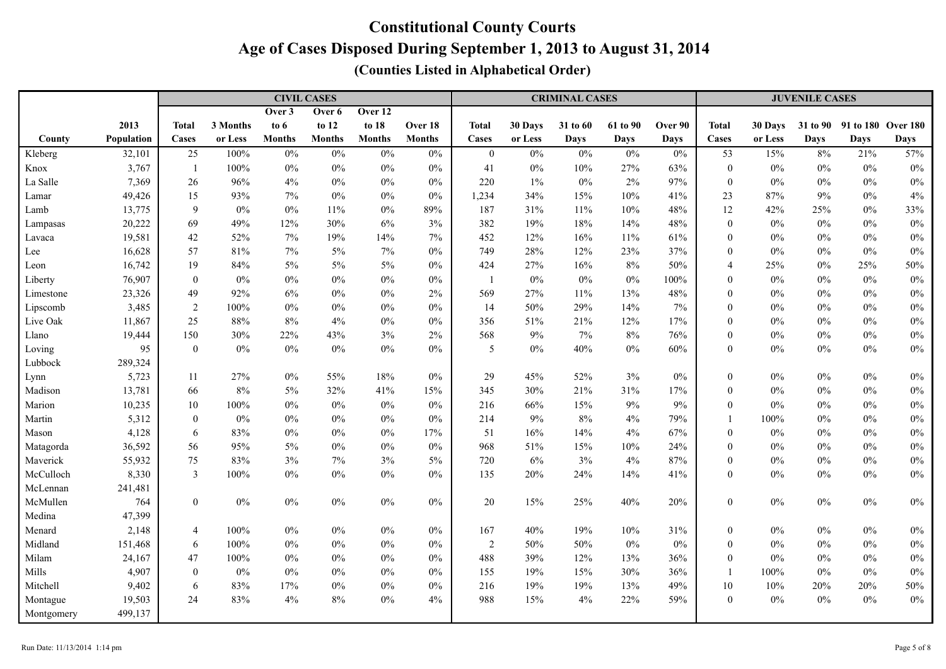|            |            |                  |          |               | <b>CIVIL CASES</b> |               |               | <b>CRIMINAL CASES</b> |         |             |             |             |                  | <b>JUVENILE CASES</b> |       |                             |             |  |  |
|------------|------------|------------------|----------|---------------|--------------------|---------------|---------------|-----------------------|---------|-------------|-------------|-------------|------------------|-----------------------|-------|-----------------------------|-------------|--|--|
|            |            |                  |          | Over 3        | Over 6             | Over 12       |               |                       |         |             |             |             |                  |                       |       |                             |             |  |  |
|            | 2013       | <b>Total</b>     | 3 Months | to $6$        | to 12              | to 18         | Over 18       | <b>Total</b>          | 30 Days | 31 to 60    | 61 to 90    | Over 90     | <b>Total</b>     | 30 Days               |       | 31 to 90 91 to 180 Over 180 |             |  |  |
| County     | Population | Cases            | or Less  | <b>Months</b> | <b>Months</b>      | <b>Months</b> | <b>Months</b> | Cases                 | or Less | <b>Days</b> | <b>Days</b> | <b>Days</b> | Cases            | or Less               | Days  | <b>Days</b>                 | <b>Days</b> |  |  |
| Kleberg    | 32,101     | 25               | 100%     | $0\%$         | $0\%$              | $0\%$         | $0\%$         | $\bf{0}$              | $0\%$   | $0\%$       | $0\%$       | $0\%$       | 53               | 15%                   | $8\%$ | 21%                         | 57%         |  |  |
| Knox       | 3,767      | $\overline{1}$   | 100%     | $0\%$         | $0\%$              | $0\%$         | $0\%$         | 41                    | $0\%$   | 10%         | 27%         | 63%         | $\boldsymbol{0}$ | $0\%$                 | $0\%$ | $0\%$                       | $0\%$       |  |  |
| La Salle   | 7,369      | 26               | 96%      | 4%            | $0\%$              | $0\%$         | $0\%$         | 220                   | $1\%$   | $0\%$       | $2\%$       | 97%         | $\boldsymbol{0}$ | $0\%$                 | $0\%$ | $0\%$                       | $0\%$       |  |  |
| Lamar      | 49,426     | 15               | 93%      | 7%            | $0\%$              | $0\%$         | $0\%$         | 1,234                 | 34%     | 15%         | $10\%$      | 41%         | 23               | $87\%$                | $9\%$ | $0\%$                       | 4%          |  |  |
| Lamb       | 13,775     | $\overline{9}$   | $0\%$    | $0\%$         | 11%                | $0\%$         | 89%           | 187                   | 31%     | 11%         | $10\%$      | 48%         | 12               | 42%                   | 25%   | $0\%$                       | 33%         |  |  |
| Lampasas   | 20,222     | 69               | 49%      | 12%           | 30%                | $6\%$         | 3%            | 382                   | 19%     | 18%         | 14%         | 48%         | $\boldsymbol{0}$ | $0\%$                 | $0\%$ | $0\%$                       | $0\%$       |  |  |
| Lavaca     | 19,581     | 42               | 52%      | 7%            | 19%                | $14\%$        | 7%            | 452                   | 12%     | 16%         | $11\%$      | 61%         | $\theta$         | $0\%$                 | $0\%$ | $0\%$                       | $0\%$       |  |  |
| Lee        | 16,628     | 57               | 81%      | $7\%$         | $5\%$              | $7\%$         | $0\%$         | 749                   | 28%     | 12%         | 23%         | 37%         | $\theta$         | $0\%$                 | $0\%$ | $0\%$                       | $0\%$       |  |  |
| Leon       | 16,742     | 19               | 84%      | 5%            | $5\%$              | $5\%$         | $0\%$         | 424                   | 27%     | 16%         | $8\%$       | 50%         | $\overline{4}$   | 25%                   | $0\%$ | 25%                         | 50%         |  |  |
| Liberty    | 76,907     | $\overline{0}$   | $0\%$    | $0\%$         | $0\%$              | $0\%$         | $0\%$         | $\overline{1}$        | $0\%$   | $0\%$       | $0\%$       | 100%        | $\theta$         | $0\%$                 | $0\%$ | $0\%$                       | $0\%$       |  |  |
| Limestone  | 23,326     | 49               | 92%      | 6%            | $0\%$              | $0\%$         | 2%            | 569                   | 27%     | 11%         | 13%         | 48%         | $\theta$         | $0\%$                 | $0\%$ | $0\%$                       | $0\%$       |  |  |
| Lipscomb   | 3,485      | $\overline{2}$   | 100%     | $0\%$         | $0\%$              | $0\%$         | $0\%$         | 14                    | 50%     | 29%         | 14%         | 7%          | $\mathbf{0}$     | $0\%$                 | $0\%$ | $0\%$                       | $0\%$       |  |  |
| Live Oak   | 11,867     | 25               | 88%      | 8%            | $4\%$              | $0\%$         | $0\%$         | 356                   | 51%     | 21%         | 12%         | 17%         | $\mathbf{0}$     | $0\%$                 | $0\%$ | $0\%$                       | $0\%$       |  |  |
| Llano      | 19,444     | 150              | 30%      | 22%           | 43%                | $3\%$         | 2%            | 568                   | 9%      | 7%          | $8\%$       | 76%         | $\mathbf{0}$     | $0\%$                 | $0\%$ | $0\%$                       | $0\%$       |  |  |
| Loving     | 95         | $\boldsymbol{0}$ | $0\%$    | $0\%$         | $0\%$              | $0\%$         | $0\%$         | 5                     | $0\%$   | 40%         | $0\%$       | 60%         | $\boldsymbol{0}$ | $0\%$                 | $0\%$ | $0\%$                       | $0\%$       |  |  |
| Lubbock    | 289,324    |                  |          |               |                    |               |               |                       |         |             |             |             |                  |                       |       |                             |             |  |  |
| Lynn       | 5,723      | 11               | 27%      | $0\%$         | 55%                | $18\%$        | $0\%$         | 29                    | 45%     | 52%         | 3%          | $0\%$       | $\boldsymbol{0}$ | $0\%$                 | $0\%$ | $0\%$                       | $0\%$       |  |  |
| Madison    | 13,781     | 66               | 8%       | 5%            | 32%                | 41%           | 15%           | 345                   | 30%     | 21%         | 31%         | 17%         | $\theta$         | $0\%$                 | $0\%$ | $0\%$                       | $0\%$       |  |  |
| Marion     | 10,235     | $10\,$           | 100%     | $0\%$         | $0\%$              | $0\%$         | $0\%$         | 216                   | 66%     | 15%         | $9\%$       | 9%          | $\theta$         | 0%                    | $0\%$ | $0\%$                       | $0\%$       |  |  |
| Martin     | 5,312      | $\bf{0}$         | $0\%$    | $0\%$         | $0\%$              | $0\%$         | $0\%$         | 214                   | 9%      | 8%          | 4%          | 79%         | $\mathbf{1}$     | 100%                  | $0\%$ | $0\%$                       | $0\%$       |  |  |
| Mason      | 4,128      | 6                | 83%      | $0\%$         | $0\%$              | $0\%$         | 17%           | 51                    | 16%     | 14%         | 4%          | 67%         | $\mathbf{0}$     | $0\%$                 | $0\%$ | $0\%$                       | $0\%$       |  |  |
| Matagorda  | 36,592     | 56               | 95%      | $5\%$         | $0\%$              | $0\%$         | $0\%$         | 968                   | $51\%$  | 15%         | $10\%$      | 24%         | $\mathbf{0}$     | $0\%$                 | $0\%$ | $0\%$                       | $0\%$       |  |  |
| Maverick   | 55,932     | 75               | 83%      | 3%            | $7\%$              | $3\%$         | 5%            | 720                   | 6%      | 3%          | $4\%$       | 87%         | $\mathbf{0}$     | $0\%$                 | $0\%$ | $0\%$                       | $0\%$       |  |  |
| McCulloch  | 8,330      | $\mathbf{3}$     | $100\%$  | $0\%$         | $0\%$              | $0\%$         | $0\%$         | 135                   | 20%     | 24%         | 14%         | 41%         | $\boldsymbol{0}$ | $0\%$                 | $0\%$ | $0\%$                       | $0\%$       |  |  |
| McLennan   | 241,481    |                  |          |               |                    |               |               |                       |         |             |             |             |                  |                       |       |                             |             |  |  |
| McMullen   | 764        | $\boldsymbol{0}$ | $0\%$    | $0\%$         | $0\%$              | $0\%$         | $0\%$         | 20                    | 15%     | 25%         | $40\%$      | 20%         | $\boldsymbol{0}$ | $0\%$                 | $0\%$ | $0\%$                       | $0\%$       |  |  |
| Medina     | 47,399     |                  |          |               |                    |               |               |                       |         |             |             |             |                  |                       |       |                             |             |  |  |
| Menard     | 2,148      | $\overline{4}$   | 100%     | $0\%$         | $0\%$              | $0\%$         | $0\%$         | 167                   | 40%     | 19%         | 10%         | 31%         | $\boldsymbol{0}$ | $0\%$                 | $0\%$ | $0\%$                       | $0\%$       |  |  |
| Midland    | 151,468    | 6                | 100%     | $0\%$         | $0\%$              | $0\%$         | $0\%$         | $\sqrt{2}$            | 50%     | 50%         | $0\%$       | $0\%$       | $\theta$         | $0\%$                 | $0\%$ | $0\%$                       | $0\%$       |  |  |
| Milam      | 24,167     | 47               | 100%     | $0\%$         | $0\%$              | $0\%$         | $0\%$         | 488                   | 39%     | 12%         | 13%         | 36%         | $\mathbf{0}$     | 0%                    | $0\%$ | $0\%$                       | $0\%$       |  |  |
| Mills      | 4,907      | $\boldsymbol{0}$ | $0\%$    | $0\%$         | $0\%$              | $0\%$         | $0\%$         | 155                   | 19%     | 15%         | 30%         | 36%         |                  | 100%                  | $0\%$ | $0\%$                       | $0\%$       |  |  |
| Mitchell   | 9,402      | 6                | 83%      | 17%           | $0\%$              | $0\%$         | $0\%$         | 216                   | 19%     | 19%         | 13%         | 49%         | 10               | $10\%$                | 20%   | 20%                         | 50%         |  |  |
| Montague   | 19,503     | 24               | 83%      | 4%            | $8\%$              | $0\%$         | 4%            | 988                   | 15%     | 4%          | 22%         | 59%         | $\boldsymbol{0}$ | $0\%$                 | $0\%$ | $0\%$                       | $0\%$       |  |  |
| Montgomery | 499,137    |                  |          |               |                    |               |               |                       |         |             |             |             |                  |                       |       |                             |             |  |  |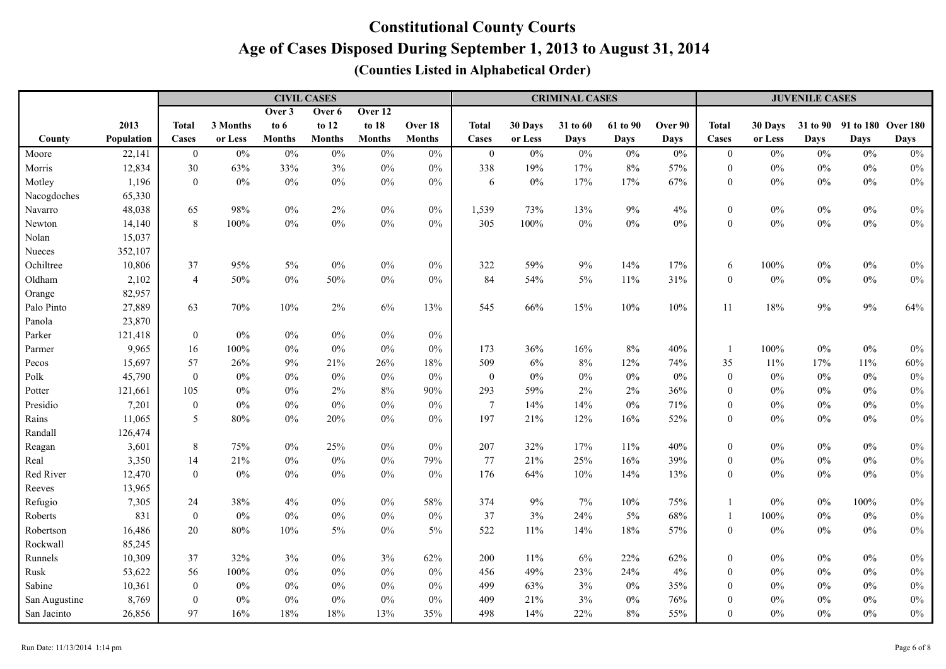|               |            |                  |          | <b>CIVIL CASES</b> |               |               |               | <b>CRIMINAL CASES</b> |         |             |          |             |                  | <b>JUVENILE CASES</b> |             |                             |             |  |
|---------------|------------|------------------|----------|--------------------|---------------|---------------|---------------|-----------------------|---------|-------------|----------|-------------|------------------|-----------------------|-------------|-----------------------------|-------------|--|
|               |            |                  |          | Over 3             | Over 6        | Over 12       |               |                       |         |             |          |             |                  |                       |             |                             |             |  |
|               | 2013       | <b>Total</b>     | 3 Months | to $6$             | to 12         | to 18         | Over 18       | <b>Total</b>          | 30 Days | 31 to 60    | 61 to 90 | Over 90     | <b>Total</b>     | 30 Days               |             | 31 to 90 91 to 180 Over 180 |             |  |
| County        | Population | Cases            | or Less  | <b>Months</b>      | <b>Months</b> | <b>Months</b> | <b>Months</b> | Cases                 | or Less | <b>Days</b> | Days     | <b>Days</b> | Cases            | or Less               | <b>Days</b> | Days                        | <b>Days</b> |  |
| Moore         | 22,141     | $\mathbf{0}$     | $0\%$    | 0%                 | $0\%$         | $0\%$         | $0\%$         | $\boldsymbol{0}$      | 0%      | $0\%$       | $0\%$    | $0\%$       | $\boldsymbol{0}$ | $0\%$                 | $0\%$       | $0\%$                       | $0\%$       |  |
| Morris        | 12,834     | 30               | 63%      | 33%                | 3%            | $0\%$         | $0\%$         | 338                   | 19%     | 17%         | $8\%$    | 57%         | $\boldsymbol{0}$ | $0\%$                 | $0\%$       | $0\%$                       | $0\%$       |  |
| Motley        | 1,196      | $\mathbf{0}$     | $0\%$    | $0\%$              | $0\%$         | $0\%$         | $0\%$         | 6                     | $0\%$   | 17%         | $17\%$   | 67%         | $\boldsymbol{0}$ | $0\%$                 | $0\%$       | $0\%$                       | $0\%$       |  |
| Nacogdoches   | 65,330     |                  |          |                    |               |               |               |                       |         |             |          |             |                  |                       |             |                             |             |  |
| Navarro       | 48,038     | 65               | 98%      | $0\%$              | 2%            | $0\%$         | $0\%$         | 1,539                 | 73%     | 13%         | $9\%$    | 4%          | $\boldsymbol{0}$ | $0\%$                 | $0\%$       | $0\%$                       | $0\%$       |  |
| Newton        | 14,140     | 8                | 100%     | $0\%$              | $0\%$         | $0\%$         | $0\%$         | 305                   | 100%    | $0\%$       | $0\%$    | $0\%$       | $\boldsymbol{0}$ | $0\%$                 | $0\%$       | $0\%$                       | $0\%$       |  |
| Nolan         | 15,037     |                  |          |                    |               |               |               |                       |         |             |          |             |                  |                       |             |                             |             |  |
| Nueces        | 352,107    |                  |          |                    |               |               |               |                       |         |             |          |             |                  |                       |             |                             |             |  |
| Ochiltree     | 10,806     | 37               | 95%      | $5\%$              | $0\%$         | $0\%$         | $0\%$         | 322                   | 59%     | 9%          | 14%      | 17%         | 6                | 100%                  | $0\%$       | $0\%$                       | $0\%$       |  |
| Oldham        | 2,102      | $\overline{4}$   | 50%      | $0\%$              | 50%           | $0\%$         | 0%            | 84                    | 54%     | 5%          | 11%      | 31%         | $\mathbf{0}$     | $0\%$                 | $0\%$       | $0\%$                       | $0\%$       |  |
| Orange        | 82,957     |                  |          |                    |               |               |               |                       |         |             |          |             |                  |                       |             |                             |             |  |
| Palo Pinto    | 27,889     | 63               | 70%      | 10%                | $2\%$         | $6\%$         | 13%           | 545                   | 66%     | 15%         | 10%      | 10%         | 11               | 18%                   | 9%          | 9%                          | 64%         |  |
| Panola        | 23,870     |                  |          |                    |               |               |               |                       |         |             |          |             |                  |                       |             |                             |             |  |
| Parker        | 121,418    | $\boldsymbol{0}$ | $0\%$    | $0\%$              | $0\%$         | $0\%$         | $0\%$         |                       |         |             |          |             |                  |                       |             |                             |             |  |
| Parmer        | 9,965      | 16               | 100%     | $0\%$              | $0\%$         | $0\%$         | $0\%$         | 173                   | 36%     | 16%         | $8\%$    | 40%         | $\mathbf{1}$     | $100\%$               | $0\%$       | $0\%$                       | $0\%$       |  |
| Pecos         | 15,697     | 57               | 26%      | 9%                 | 21%           | 26%           | 18%           | 509                   | 6%      | 8%          | 12%      | 74%         | 35               | 11%                   | 17%         | $11\%$                      | 60%         |  |
| Polk          | 45,790     | $\boldsymbol{0}$ | $0\%$    | $0\%$              | $0\%$         | $0\%$         | $0\%$         | $\mathbf{0}$          | $0\%$   | $0\%$       | $0\%$    | $0\%$       | $\boldsymbol{0}$ | $0\%$                 | $0\%$       | $0\%$                       | $0\%$       |  |
| Potter        | 121,661    | 105              | $0\%$    | $0\%$              | $2\%$         | 8%            | 90%           | 293                   | 59%     | 2%          | $2\%$    | 36%         | $\theta$         | $0\%$                 | $0\%$       | $0\%$                       | $0\%$       |  |
| Presidio      | 7,201      | $\boldsymbol{0}$ | $0\%$    | $0\%$              | $0\%$         | $0\%$         | $0\%$         | $\overline{7}$        | 14%     | 14%         | $0\%$    | 71%         | $\mathbf{0}$     | $0\%$                 | $0\%$       | $0\%$                       | $0\%$       |  |
| Rains         | 11,065     | $5\overline{)}$  | 80%      | $0\%$              | 20%           | $0\%$         | $0\%$         | 197                   | 21%     | 12%         | 16%      | 52%         | $\mathbf{0}$     | $0\%$                 | $0\%$       | $0\%$                       | $0\%$       |  |
| Randall       | 126,474    |                  |          |                    |               |               |               |                       |         |             |          |             |                  |                       |             |                             |             |  |
| Reagan        | 3,601      | 8                | 75%      | $0\%$              | 25%           | $0\%$         | $0\%$         | 207                   | 32%     | 17%         | $11\%$   | 40%         | $\boldsymbol{0}$ | $0\%$                 | $0\%$       | $0\%$                       | $0\%$       |  |
| Real          | 3,350      | 14               | 21%      | $0\%$              | $0\%$         | $0\%$         | 79%           | 77                    | 21%     | 25%         | 16%      | 39%         | $\boldsymbol{0}$ | $0\%$                 | $0\%$       | $0\%$                       | $0\%$       |  |
| Red River     | 12,470     | $\boldsymbol{0}$ | $0\%$    | $0\%$              | $0\%$         | $0\%$         | $0\%$         | 176                   | 64%     | 10%         | 14%      | 13%         | $\boldsymbol{0}$ | $0\%$                 | $0\%$       | $0\%$                       | $0\%$       |  |
| Reeves        | 13,965     |                  |          |                    |               |               |               |                       |         |             |          |             |                  |                       |             |                             |             |  |
| Refugio       | 7,305      | 24               | 38%      | 4%                 | $0\%$         | $0\%$         | 58%           | 374                   | 9%      | 7%          | $10\%$   | 75%         |                  | $0\%$                 | $0\%$       | 100%                        | $0\%$       |  |
| Roberts       | 831        | $\boldsymbol{0}$ | $0\%$    | $0\%$              | $0\%$         | $0\%$         | $0\%$         | 37                    | 3%      | 24%         | $5\%$    | 68%         |                  | $100\%$               | $0\%$       | $0\%$                       | $0\%$       |  |
| Robertson     | 16,486     | 20               | 80%      | 10%                | $5\%$         | $0\%$         | 5%            | 522                   | 11%     | 14%         | 18%      | 57%         | $\boldsymbol{0}$ | $0\%$                 | $0\%$       | $0\%$                       | $0\%$       |  |
| Rockwall      | 85,245     |                  |          |                    |               |               |               |                       |         |             |          |             |                  |                       |             |                             |             |  |
| Runnels       | 10,309     | 37               | 32%      | 3%                 | $0\%$         | 3%            | 62%           | 200                   | 11%     | 6%          | 22%      | 62%         | $\boldsymbol{0}$ | $0\%$                 | $0\%$       | $0\%$                       | $0\%$       |  |
| Rusk          | 53,622     | 56               | 100%     | $0\%$              | $0\%$         | $0\%$         | $0\%$         | 456                   | 49%     | 23%         | 24%      | 4%          | $\mathbf{0}$     | $0\%$                 | $0\%$       | $0\%$                       | $0\%$       |  |
| Sabine        | 10,361     | $\boldsymbol{0}$ | $0\%$    | $0\%$              | $0\%$         | $0\%$         | $0\%$         | 499                   | 63%     | 3%          | $0\%$    | 35%         | $\theta$         | $0\%$                 | $0\%$       | $0\%$                       | $0\%$       |  |
| San Augustine | 8,769      | $\boldsymbol{0}$ | $0\%$    | $0\%$              | $0\%$         | $0\%$         | $0\%$         | 409                   | 21%     | 3%          | $0\%$    | 76%         | $\theta$         | $0\%$                 | $0\%$       | $0\%$                       | $0\%$       |  |
| San Jacinto   | 26,856     | 97               | 16%      | 18%                | 18%           | 13%           | 35%           | 498                   | 14%     | 22%         | $8\%$    | 55%         | $\mathbf{0}$     | $0\%$                 | $0\%$       | $0\%$                       | $0\%$       |  |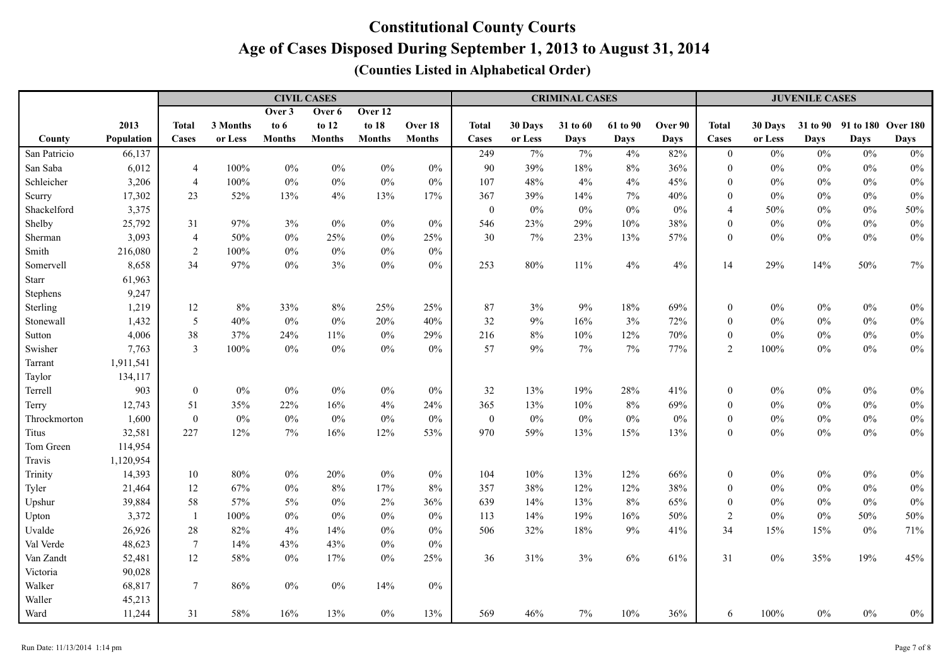|              |            |                  |          | <b>CIVIL CASES</b> |               |               |               | <b>CRIMINAL CASES</b> |         |             |             |             |                  | <b>JUVENILE CASES</b> |             |                             |             |  |  |
|--------------|------------|------------------|----------|--------------------|---------------|---------------|---------------|-----------------------|---------|-------------|-------------|-------------|------------------|-----------------------|-------------|-----------------------------|-------------|--|--|
|              |            |                  |          | Over 3             | Over 6        | Over 12       |               |                       |         |             |             |             |                  |                       |             |                             |             |  |  |
|              | 2013       | <b>Total</b>     | 3 Months | to $6$             | to 12         | to 18         | Over 18       | <b>Total</b>          | 30 Days | 31 to 60    | 61 to 90    | Over 90     | <b>Total</b>     | 30 Days               |             | 31 to 90 91 to 180 Over 180 |             |  |  |
| County       | Population | Cases            | or Less  | <b>Months</b>      | <b>Months</b> | <b>Months</b> | <b>Months</b> | Cases                 | or Less | <b>Days</b> | <b>Days</b> | <b>Days</b> | Cases            | or Less               | <b>Days</b> | <b>Days</b>                 | <b>Days</b> |  |  |
| San Patricio | 66,137     |                  |          |                    |               |               |               | 249                   | 7%      | 7%          | 4%          | 82%         | $\overline{0}$   | $0\%$                 | $0\%$       | $0\%$                       | $0\%$       |  |  |
| San Saba     | 6,012      | $\overline{4}$   | 100%     | $0\%$              | $0\%$         | $0\%$         | $0\%$         | 90                    | 39%     | 18%         | $8\%$       | 36%         | $\mathbf{0}$     | $0\%$                 | $0\%$       | $0\%$                       | $0\%$       |  |  |
| Schleicher   | 3,206      | $\overline{4}$   | 100%     | $0\%$              | $0\%$         | $0\%$         | $0\%$         | 107                   | 48%     | 4%          | 4%          | 45%         | $\theta$         | $0\%$                 | $0\%$       | $0\%$                       | $0\%$       |  |  |
| Scurry       | 17,302     | 23               | 52%      | 13%                | 4%            | 13%           | 17%           | 367                   | 39%     | 14%         | $7\%$       | 40%         | $\mathbf{0}$     | $0\%$                 | $0\%$       | $0\%$                       | $0\%$       |  |  |
| Shackelford  | 3,375      |                  |          |                    |               |               |               | $\boldsymbol{0}$      | $0\%$   | $0\%$       | $0\%$       | 0%          | $\overline{4}$   | 50%                   | $0\%$       | $0\%$                       | 50%         |  |  |
| Shelby       | 25,792     | 31               | 97%      | 3%                 | $0\%$         | $0\%$         | $0\%$         | 546                   | 23%     | 29%         | 10%         | 38%         | $\mathbf{0}$     | $0\%$                 | $0\%$       | $0\%$                       | $0\%$       |  |  |
| Sherman      | 3,093      | $\overline{4}$   | 50%      | $0\%$              | 25%           | $0\%$         | 25%           | 30                    | 7%      | 23%         | 13%         | 57%         | $\mathbf{0}$     | $0\%$                 | $0\%$       | $0\%$                       | $0\%$       |  |  |
| Smith        | 216,080    | $\sqrt{2}$       | 100%     | $0\%$              | $0\%$         | $0\%$         | $0\%$         |                       |         |             |             |             |                  |                       |             |                             |             |  |  |
| Somervell    | 8,658      | 34               | 97%      | $0\%$              | 3%            | $0\%$         | $0\%$         | 253                   | 80%     | 11%         | 4%          | 4%          | 14               | 29%                   | 14%         | 50%                         | $7\%$       |  |  |
| <b>Starr</b> | 61,963     |                  |          |                    |               |               |               |                       |         |             |             |             |                  |                       |             |                             |             |  |  |
| Stephens     | 9,247      |                  |          |                    |               |               |               |                       |         |             |             |             |                  |                       |             |                             |             |  |  |
| Sterling     | 1,219      | 12               | $8\%$    | 33%                | $8\%$         | 25%           | 25%           | 87                    | 3%      | 9%          | $18\%$      | 69%         | $\boldsymbol{0}$ | $0\%$                 | $0\%$       | $0\%$                       | $0\%$       |  |  |
| Stonewall    | 1,432      | 5                | 40%      | $0\%$              | $0\%$         | 20%           | 40%           | 32                    | $9\%$   | 16%         | 3%          | 72%         | $\mathbf{0}$     | $0\%$                 | 0%          | $0\%$                       | $0\%$       |  |  |
| Sutton       | 4,006      | 38               | 37%      | 24%                | 11%           | $0\%$         | 29%           | 216                   | $8\%$   | 10%         | 12%         | 70%         | $\boldsymbol{0}$ | $0\%$                 | $0\%$       | $0\%$                       | $0\%$       |  |  |
| Swisher      | 7,763      | $\overline{3}$   | 100%     | $0\%$              | $0\%$         | $0\%$         | $0\%$         | 57                    | 9%      | 7%          | $7\%$       | 77%         | $\overline{2}$   | 100%                  | $0\%$       | $0\%$                       | $0\%$       |  |  |
| Tarrant      | 1,911,541  |                  |          |                    |               |               |               |                       |         |             |             |             |                  |                       |             |                             |             |  |  |
| Taylor       | 134,117    |                  |          |                    |               |               |               |                       |         |             |             |             |                  |                       |             |                             |             |  |  |
| Terrell      | 903        | $\boldsymbol{0}$ | $0\%$    | $0\%$              | $0\%$         | $0\%$         | $0\%$         | $32\,$                | 13%     | 19%         | $28\%$      | 41%         | $\mathbf{0}$     | $0\%$                 | $0\%$       | $0\%$                       | $0\%$       |  |  |
| Terry        | 12,743     | 51               | 35%      | 22%                | 16%           | 4%            | 24%           | 365                   | 13%     | 10%         | $8\%$       | 69%         | $\mathbf{0}$     | $0\%$                 | $0\%$       | $0\%$                       | $0\%$       |  |  |
| Throckmorton | 1,600      | $\boldsymbol{0}$ | $0\%$    | $0\%$              | $0\%$         | $0\%$         | $0\%$         | $\boldsymbol{0}$      | $0\%$   | $0\%$       | $0\%$       | $0\%$       | $\mathbf{0}$     | $0\%$                 | $0\%$       | $0\%$                       | $0\%$       |  |  |
| Titus        | 32,581     | 227              | 12%      | $7\%$              | 16%           | 12%           | 53%           | 970                   | 59%     | 13%         | 15%         | 13%         | $\mathbf{0}$     | $0\%$                 | $0\%$       | $0\%$                       | $0\%$       |  |  |
| Tom Green    | 114,954    |                  |          |                    |               |               |               |                       |         |             |             |             |                  |                       |             |                             |             |  |  |
| Travis       | 1,120,954  |                  |          |                    |               |               |               |                       |         |             |             |             |                  |                       |             |                             |             |  |  |
| Trinity      | 14,393     | 10               | 80%      | $0\%$              | 20%           | $0\%$         | 0%            | 104                   | 10%     | 13%         | 12%         | 66%         | $\boldsymbol{0}$ | $0\%$                 | $0\%$       | $0\%$                       | $0\%$       |  |  |
| Tyler        | 21,464     | 12               | 67%      | $0\%$              | $8\%$         | 17%           | 8%            | 357                   | 38%     | 12%         | 12%         | 38%         | $\mathbf{0}$     | $0\%$                 | $0\%$       | $0\%$                       | $0\%$       |  |  |
| Upshur       | 39,884     | 58               | 57%      | 5%                 | $0\%$         | $2\%$         | 36%           | 639                   | 14%     | 13%         | 8%          | 65%         | $\theta$         | $0\%$                 | $0\%$       | $0\%$                       | $0\%$       |  |  |
| Upton        | 3,372      | $\mathbf{1}$     | 100%     | $0\%$              | $0\%$         | $0\%$         | $0\%$         | 113                   | 14%     | 19%         | 16%         | 50%         | $\sqrt{2}$       | $0\%$                 | $0\%$       | 50%                         | 50%         |  |  |
| Uvalde       | 26,926     | 28               | 82%      | 4%                 | 14%           | $0\%$         | $0\%$         | 506                   | 32%     | 18%         | 9%          | 41%         | 34               | 15%                   | 15%         | $0\%$                       | 71%         |  |  |
| Val Verde    | 48,623     | $\tau$           | 14%      | 43%                | 43%           | $0\%$         | $0\%$         |                       |         |             |             |             |                  |                       |             |                             |             |  |  |
| Van Zandt    | 52,481     | 12               | 58%      | $0\%$              | 17%           | $0\%$         | 25%           | 36                    | 31%     | 3%          | $6\%$       | 61%         | 31               | $0\%$                 | 35%         | 19%                         | 45%         |  |  |
| Victoria     | 90,028     |                  |          |                    |               |               |               |                       |         |             |             |             |                  |                       |             |                             |             |  |  |
| Walker       | 68,817     | $7\phantom{.0}$  | 86%      | $0\%$              | $0\%$         | 14%           | $0\%$         |                       |         |             |             |             |                  |                       |             |                             |             |  |  |
| Waller       | 45,213     |                  |          |                    |               |               |               |                       |         |             |             |             |                  |                       |             |                             |             |  |  |
| Ward         | 11,244     | 31               | 58%      | 16%                | 13%           | $0\%$         | 13%           | 569                   | 46%     | $7\%$       | $10\%$      | 36%         | 6                | $100\%$               | $0\%$       | $0\%$                       | $0\%$       |  |  |